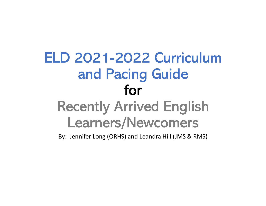# ELD 2021-2022 Curriculum and Pacing Guide for Recently Arrived English Learners/Newcomers

By: Jennifer Long (ORHS) and Leandra Hill (JMS & RMS)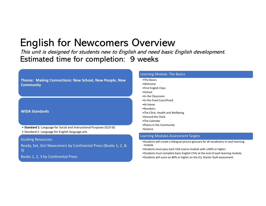This unit is designed for students new to English and need basic English development. Estimated time for completion: 9 weeks **Fhis unit is designed for students new to English**<br> **Estimated time for completion: 9**<br>
Theme: Making Connections: New School, New People, New<br>
Community<br>
MIDA Standards<br>
• Standard 1: Language for Social and Instructiona

Theme: Making Connections: New School, New People, New **Community** 

#### WIDA Standards

- Standard 1: Language for Social and Instructional Purposes (ELD-SI)
- 

#### Guiding Resources:

Ready, Set, Go! Newcomers by Continental Press (Books 1, 2, & 3)

Books 1, 2, 3 by Continental Press

#### Learning Module: The Basics

- •The Basics
- •Welcome
- •First English Class
- •School
- •In the Classroom
- •In the Food Court/Food
- •At Home
- •Numbers
- •The Clinic: Health and Wellbeing
- •Around the Clock
- •The Calendar
- •Places in the Community
- •Science

#### Learning Modules Assessment Targets

- •Students will create a bilingual picture glossary for all vocabulary in each learning module.
- •Students must pass each USA Learns module with a 80% or higher.
- •Students must complete basic English CFAs at the end of each learning module.
- •Students will score an 80% or higher on the ELL Starter Quill assessment.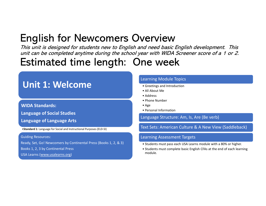This unit is designed for students new to English and need basic English development. This unit can be completed anytime during the school year with WIDA Screener score of a 1 or 2. **/Crvicw**<br> *d need basic English development. This*<br> *aar with WIDA Screener score of a 1 or 2.*<br> **10 Week**<br>
<br> **earning Module Topics<br>
• Greetings and Introduction<br>
• All About Me<br>
• Address<br>
• Phone Number<br>
• Phone Number /erview**<br> *Merget About English development. This*<br> **aar with WIDA Screener score of a 1 or 2.**<br> **All About Merget According Module Topics**<br> **• Greetings and Introduction**<br>
• Ald About Me<br>
• Address<br>
• Phone Number<br>
• R **/CIVIEW**<br> *d need basic English development. This*<br> *ear with WIDA Screener score of a 1 or 2.*<br> **1C WCCK**<br>
<br> **earning Module Topics<br>
• Greetings and Introduction<br>
• All About Me<br>
• Address<br>
• Phone Number<br>
• Age<br>
• Perso /Crylew**<br> *d need basic English development. This*<br>
par with WIDA Screener score of a 1 or 2.<br> **1C WCCK**<br>
<br>
earning Module Topics<br>
• Greetings and Introduction<br>
• Address<br>
• Phone Number<br>
• Age<br>
• Personal Information<br>
an **/Crvich Constrained School Constrained School Constrained Schools (School Constrained School Constrained School Constrained School Constrained School Constrained School Constrained Proceduce Constrained Proceduce Constrai Figure 11 Accord Control Control Control Control Control Control Control Control Control Control Control Control Control Control Control Control Control Control<br>
Control Information<br>
Contribute Madress<br>
Creatings and Intr** 

# Estimated time length: One week

### Unit 1: Welcome

### WIDA Standards: Language of Social Studies

Language of Language Arts

•Standard 1: Language for Social and Instructional Purposes (ELD-SI)

Guiding Resources:

Ready, Set, Go! Newcomers by Continental Press (Books 1, 2, & 3) Students must pass each USA Learns module with a 80% or higher.

Books 1, 2, 3 by Continental Press

USA Learns (www.usalearns.org)

### Learning Module Topics

- 
- 
- 
- 
- 
- 

Language Structure: Am, Is, Are (Be verb)

Text Sets: American Culture & A New View (Saddleback)

- 
- **CHERE SEAR CONTROVE CONTROVER CONTROVER CONTROVER CONTROVER AND A SAMPLE CONTROVER CONTROVER CONTROVER CONTROVER CONTROVER CONTROVER CONTROVER CONTROVER CONTROVER CONTROVER CONTROVER CONTROVER CONTROVER CONTROVER CONTROVE Example 18 Students and Interded Complete Data Accepts and Interded CASES**<br>
• Address<br>
• Pehone Number<br>
• Pehone Number<br>
• Personal Information<br>
anguage Structure: Am, Is, Are (Be verb)<br>
<br>
Ext Sets: American Culture & A N module.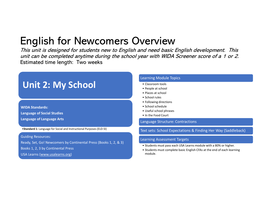This unit is designed for students new to English and need basic English development. This unit can be completed anytime during the school year with WIDA Screener score of a 1 or 2. Estimated time length: Two weeks **/CIVICW**<br> *d need basic English development. This*<br> *ear with WIDA Screener score of a 1 or 2.*<br>
<br>
earning Module Topics<br>
• Classroom tools<br>
• Paces at school<br>
• Paces at school<br>
• Following directions<br>
• School schedule<br> **/Crvicw**<br> **Contains the property of the school school school school school school school school school school school school school school school school school schedule<br>
<b>Property** at school<br> **Property at school school sch /CIVICW**<br> *d need basic English development. This*<br> *ear with WIDA Screener score of a 1 or 2.*<br>
<br> **earning Module Topics<br>
• Recople at school<br>
• Places at school<br>
• School schedule<br>
• School schedule<br>
• School schedule<br> /CIVICW**<br>
or *need basic English development. This*<br>
par with WIDA Screener score of a 1 or 2.<br>
earning Module Topics<br>
(Tassroom tools<br>
(People at school<br>
(People at school)<br>
(People at school)<br>
(People at school)<br>
(Peopl **/CITVIEW**<br>
Ind need basic English development. This<br>
ear with WIDA Screener score of a 1 or 2.<br>
earning Module Topics<br>
• Classroom tools<br>
• People at school<br>
• Peaces at school<br>
• School crues<br>
• School schedule<br>
• School **School school School School School School School School School School School School School School School School School School School School School School School School School School School School School School School Scho /CITVIEW**<br>
Id need basic English development. This<br>
par with WIDA Screener score of a 1 or 2.<br>
earning Module Topics<br>
• Classroom tools<br>
• People at school<br>
• Places at school<br>
• School rules<br>
• School schedule<br>
• Useful **/CIVICW**<br> *d need basic English development. This*<br>
par with WIDA Screener score of a 1 or 2.<br>
earning Module Topics<br>
• Resple at school<br>
• Pelaces at school<br>
• School school<br>
• School school<br>
• School school<br>
• School sc

### Unit 2: My School

### WIDA Standards:

Language of Social Studies

Language of Language Arts

•Standard 1: Language for Social and Instructional Purposes (ELD-SI)

Guiding Resources:

Ready, Set, Go! Newcomers by Continental Press (Books 1, 2, & 3)<br>• Students must pass each USA Learns module with a 80% or higher. Books 1, 2, 3 by Continental Press USA Learns (www.usalearns.org)

#### Learning Module Topics

- 
- 
- 
- 
- 
- 
- 
- 

Language Structure: Contractions

Text sets: School Expectations & Finding Her Way (Saddleback)

- 
- earning Module Topics<br>• Classroom tools<br>• Feople at school<br>• Stool rules<br>• Following directions<br>• School schedule<br>• Useful school phrases<br>• In the Food Court<br>manyage Structure: Contractions<br>Ext sets: School Expectations & earning Module Topics<br>• Classroom tools<br>• People at school<br>• Flalowing directions<br>• School schedule<br>• School schedule<br>• Useful school phrases<br>• In the Food Court<br>enarning Assessment Targets<br>ext sets: School Expectations & module.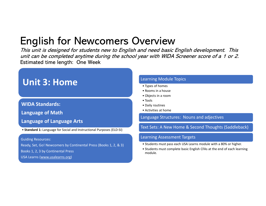This unit is designed for students new to English and need basic English development. This unit can be completed anytime during the school year with WIDA Screener score of a 1 or 2. Estimated time length: One Week **/Crvich Constrained Systems of the Constrained Systems of the Armoring Module Topics<br>Frame with WIDA Screener score of a 1 or 2.<br>
<br>
earning Module Topics<br>
• Types of homes<br>
• Rooms in a house<br>
• Objects in a room<br>
• Tools /CIVICW**<br>
and need basic English development. This<br>
par with WIDA Screener score of a 1 or 2.<br>
earning Module Topics<br>
• Types of homes<br>
• Rooms in a house<br>
• Objects in a room<br>
• Tools<br>
• Activities at home<br>
• Activities **/Crvich CM<br>
d need basic English development. This<br>
ear with WIDA Screener score of a 1 or 2.<br>
earning Module Topics<br>
• Types of homes<br>
• Rooms in a house<br>
• Nobjects in a room<br>
• Tobis<br>
• Objects in a room<br>
• Tobis<br>
• Ac /Crvich the Solution Server Server Server Server Server Server Server Server Server Server Server Server Server Server Server Server Server Server Server Server Server Server Server Server Server Server Server Server Serv /Crick Constrained Assic English development.** This<br>par with WIDA Screener score of a 1 or 2.<br>earning Module Topics<br>• Types of homes<br>• Rooms in a house<br>• Nobjets in a room<br>• Diols<br>• Daily routines<br>• Activities at home<br>Act **Figure 19: Activities at Activities at New Home & Second Thoughts (Saddleback)**<br>
Figure 2. Activities at homes<br>
• Rooms in a house<br>
• Nopets in a noom<br>
• Noisk<br>
• Noisk<br>
• Noisk<br>
• Activities at home<br>
• Activities at home

### Unit 3: Home

### WIDA Standards:

Language of Math

- Language of Language Arts
- Standard 1: Language for Social and Instructional Purposes (ELD-SI)

Guiding Resources:

Ready, Set, Go! Newcomers by Continental Press (Books 1, 2, & 3)<br>Students must pass each USA Learns module with a 80% or higher.<br>Students must complete basic English CFAs at the end of each learning Books 1, 2, 3 by Continental Press USA Learns (www.usalearns.org)

#### Learning Module Topics

- 
- 
- 
- 
- 
- 

Language Structures: Nouns and adjectives

Text Sets: A New Home & Second Thoughts (Saddleback)

- 
- **Types of homes**<br>• Rooms in a house<br>• Objects in a room<br>• Tools<br>• Daily routines<br>• Activities at home<br>**•** Activities at home<br>anguage Structures: Nouns and adjectives<br>ext Sets: A New Home & Second Thoughts (Saddleback)<br>earning Module Topics<br>• Types of homes<br>• Rooms in a house<br>• Objects in a room<br>• Daily routines<br>• Activities at home<br>• Activities at home<br>anguage Structures: Nouns and adjectives<br>ext Sets: A New Home & Second Thoughts (Sadd module.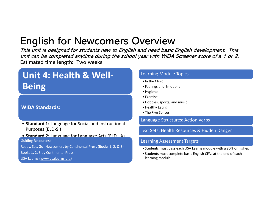This unit is designed for students new to English and need basic English development. This unit can be completed anytime during the school year with WIDA Screener score of a 1 or 2. Estimated time length: Two weeks **/Crvicw**<br> *Conditional Accelers Scotting Module Topics Accelers for a 1 or 2.***<br>
<br>
Acceling Module Topics<br>
• In the Clinic<br>
• Feelings and Emotions<br>
• Hobbies, sports, and music<br>
• Hobbies, sports, and music /Crvicw**<br> *Mal need basic English development. This*<br> *ear with WIDA Screener score of a 1 or 2.*<br>
<br> **earning Module Topics<br>
• In the Clinic<br>
• Feelings and Emotions<br>
• Hygiene<br>
• Exercise<br>
• Hobbies, sports, and music<br>
• /CIVICW**<br> *d need basic English development. This*<br> *ear with WIDA Screener score of a 1 or 2.*<br>
<br> **earning Module Topics<br>
• In the Clinic<br>
• Feelings and Emotions<br>
• Hygiene<br>
• Exercise<br>
• Hobbies, sports, and music<br>
• H /Crvich CM**<br> **d** need basic English development. This<br>
par with WIDA Screener score of a 1 or 2.<br>
earning Module Topics<br>
• In the Clinic<br>
• Feelings and Emotions<br>
• Hygiene<br>
• Exercise<br>
• Hobbies, sports, and music<br>
• Hea • Hobbies, sports, and music **/CIVICW**<br>
Ind need basic English development. This<br>
par with WIDA Screener score of a 1 or 2.<br>
earning Module Topics<br>
• In the Clinic<br>
• Feelings and Emotions<br>
• Exercise<br>
• Hobbies, sports, and music<br>
• Healthy Eating<br>
• **/CIVICW**<br>
Ind need basic English development. This<br>
par with WIDA Screener score of a 1 or 2.<br>
earning Module Topics<br>
• In the Clinic<br>
• Feelings and Emotions<br>
• Hygiene<br>
• Hobbies, sports, and music<br>
• Healthy Eating<br>
•

### Unit 4: Health & Well-Being

### WIDA Standards:

• Standard 1: Language for Social and Instructional Purposes (ELD-SI)

#### • Standard 2: Language for Language Arts (ELD-LA)

Guiding Resources:

Ready, Set, Go! Newcomers by Continental Press (Books 1, 2, & 3) <br>• Students must pass each USA Learns module with a 80% or higher.

Books 1, 2, 3 by Continental Press

USA Learns (www.usalearns.org)

### Learning Module Topics

- 
- 
- 
- 
- 
- 
- 

### Language Structures: Action Verbs

### Text Sets: Health Resources & Hidden Danger

- 
- earning Module Topics<br>• In the Clinic<br>• Feelings and Emotions<br>• Hygiene<br>• Exercise<br>• Hobbies, sports, and music<br>• The Five Senses<br>anguage Structures: Action Verbs<br>Ext Sets: Health Resources & Hidden Danger<br>earning Assessme earning Module Topics<br>• In the Clinic<br>• Feelings and Emotions<br>• Hygiene<br>• Exercise<br>• Hobbies, sports, and music<br>• Healthy Eating<br>• The Five Senses<br>anguage Structures: Action Verbs<br>• Ext Sets: Health Resources & Hidden Dang learning module.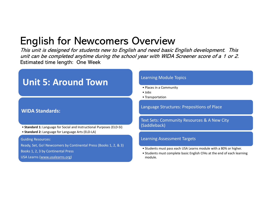This unit is designed for students new to English and need basic English development. This unit can be completed anytime during the school year with WIDA Screener score of a 1 or 2. Estimated time length: One Week **/CIVIEW**<br>
Ind need basic English development. This<br>
par with WIDA Screener score of a 1 or 2.<br>
<br>
earning Module Topics<br>
• Places in a Community<br>
• Jobs<br>
• Transportation<br>
anguage Structures: Prepositions of Place **/CIVICW**<br> *d need basic English development. This*<br> *ear with WIDA Screener score of a 1 or 2.*<br>
<br>
earning Module Topics<br>
• Places in a Community<br>
• Jobs<br>
• Transportation<br>
anguage Structures: Prepositions of Place **/CIVICW**<br> **order and the School School School School School School School School School School School School School School<br>
Places in a Community<br>
<b>Places in a Community**<br> **Places in a Community**<br> **Places in a Community R** 

# Unit 5: Around Town<br>
State in a Community

### WIDA Standards:

- Standard 1: Language for Social and Instructional Purposes (ELD-SI)
- Standard 2: Language for Language Arts (ELD-LA)

#### Guiding Resources:

Ready, Set, Go! Newcomers by Continental Press (Books 1, 2, & 3)<br>Students must pass each USA Learns module with a 80% or higher.

Books 1, 2, 3 by Continental Press

USA Learns (www.usalearns.org)

#### Learning Module Topics

Language Structures: Prepositions of Place

Text Sets: Community Resources & A New City (Saddleback) earning Module Topics<br>• Places in a Community<br>• Jobs<br>• Transportation<br>Clearning Assessment Targets<br>For Saddleback)<br>• Students must pass each USA Learns module with a 80% or higher.<br>• Students must complete basic English CF earning Module Topics<br>• Places in a Community<br>• Jobs<br>• Transportation<br>Text Sets: Community Resources & A New City<br>Saddleback)<br>earning Assessment Targets<br>• Students must pass each USA Learns module with a 80% or higher.<br>• S

- 
- module.